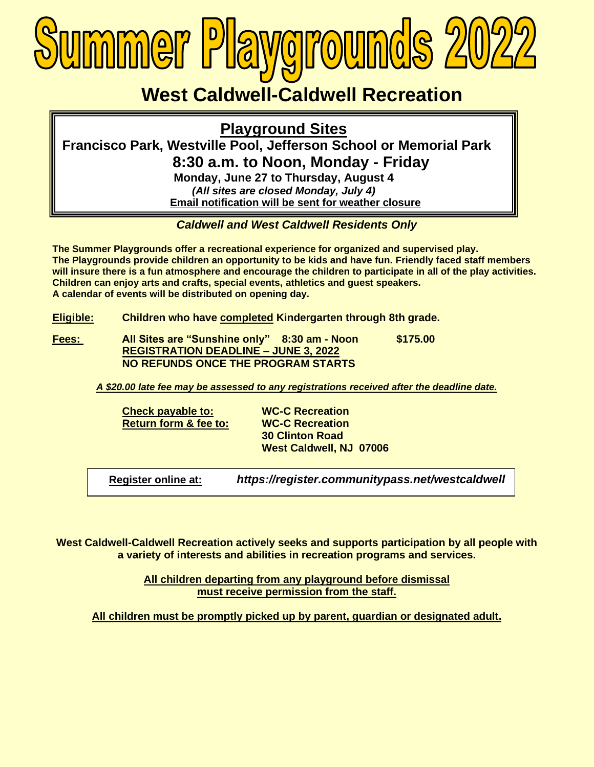

## **West Caldwell-Caldwell Recreation**

**Playground Sites**

**Francisco Park, Westville Pool, Jefferson School or Memorial Park 8:30 a.m. to Noon, Monday - Friday Monday, June 27 to Thursday, August 4**

> *(All sites are closed Monday, July 4)* **Email notification will be sent for weather closure**

## *Caldwell and West Caldwell Residents Only*

**The Summer Playgrounds offer a recreational experience for organized and supervised play. The Playgrounds provide children an opportunity to be kids and have fun. Friendly faced staff members will insure there is a fun atmosphere and encourage the children to participate in all of the play activities. Children can enjoy arts and crafts, special events, athletics and guest speakers. A calendar of events will be distributed on opening day.**

- **Eligible: Children who have completed Kindergarten through 8th grade.**
- **Fees: All Sites are "Sunshine only" 8:30 am - Noon \$175.00 REGISTRATION DEADLINE – JUNE 3, 2022 NO REFUNDS ONCE THE PROGRAM STARTS**

*A \$20.00 late fee may be assessed to any registrations received after the deadline date.*

**Check payable to: WC-C Recreation Return form & fee to: WC-C Recreation** 

**30 Clinton Road West Caldwell, NJ 07006**

 **Register online at:** *<https://register.communitypass.net/westcaldwell>*

**West Caldwell-Caldwell Recreation actively seeks and supports participation by all people with a variety of interests and abilities in recreation programs and services.**

> **All children departing from any playground before dismissal must receive permission from the staff.**

**All children must be promptly picked up by parent, guardian or designated adult.**